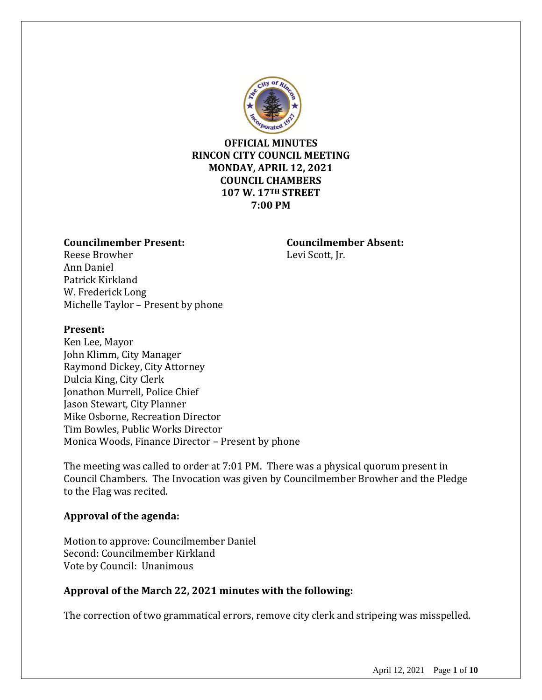

## **OFFICIAL MINUTES RINCON CITY COUNCIL MEETING MONDAY, APRIL 12, 2021 COUNCIL CHAMBERS 107 W. 17TH STREET 7:00 PM**

#### **Councilmember Present: Councilmember Absent:**

Reese Browher Levi Scott, Jr. Ann Daniel Patrick Kirkland W. Frederick Long Michelle Taylor – Present by phone

### **Present:**

Ken Lee, Mayor John Klimm, City Manager Raymond Dickey, City Attorney Dulcia King, City Clerk Jonathon Murrell, Police Chief Jason Stewart, City Planner Mike Osborne, Recreation Director Tim Bowles, Public Works Director Monica Woods, Finance Director – Present by phone

The meeting was called to order at 7:01 PM. There was a physical quorum present in Council Chambers. The Invocation was given by Councilmember Browher and the Pledge to the Flag was recited.

## **Approval of the agenda:**

Motion to approve: Councilmember Daniel Second: Councilmember Kirkland Vote by Council: Unanimous

## **Approval of the March 22, 2021 minutes with the following:**

The correction of two grammatical errors, remove city clerk and stripeing was misspelled.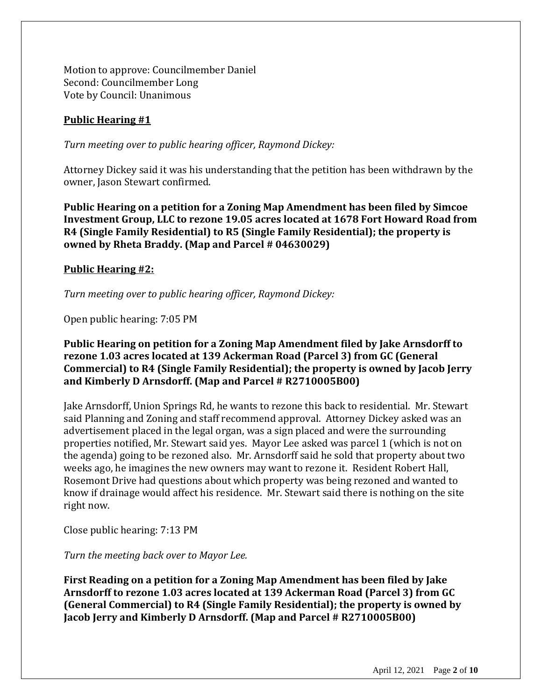Motion to approve: Councilmember Daniel Second: Councilmember Long Vote by Council: Unanimous

# **Public Hearing #1**

*Turn meeting over to public hearing officer, Raymond Dickey:*

Attorney Dickey said it was his understanding that the petition has been withdrawn by the owner, Jason Stewart confirmed.

**Public Hearing on a petition for a Zoning Map Amendment has been filed by Simcoe Investment Group, LLC to rezone 19.05 acres located at 1678 Fort Howard Road from R4 (Single Family Residential) to R5 (Single Family Residential); the property is owned by Rheta Braddy. (Map and Parcel # 04630029)**

## **Public Hearing #2:**

*Turn meeting over to public hearing officer, Raymond Dickey:*

Open public hearing: 7:05 PM

## **Public Hearing on petition for a Zoning Map Amendment filed by Jake Arnsdorff to rezone 1.03 acres located at 139 Ackerman Road (Parcel 3) from GC (General Commercial) to R4 (Single Family Residential); the property is owned by Jacob Jerry and Kimberly D Arnsdorff. (Map and Parcel # R2710005B00)**

Jake Arnsdorff, Union Springs Rd, he wants to rezone this back to residential. Mr. Stewart said Planning and Zoning and staff recommend approval. Attorney Dickey asked was an advertisement placed in the legal organ, was a sign placed and were the surrounding properties notified, Mr. Stewart said yes. Mayor Lee asked was parcel 1 (which is not on the agenda) going to be rezoned also. Mr. Arnsdorff said he sold that property about two weeks ago, he imagines the new owners may want to rezone it. Resident Robert Hall, Rosemont Drive had questions about which property was being rezoned and wanted to know if drainage would affect his residence. Mr. Stewart said there is nothing on the site right now.

Close public hearing: 7:13 PM

*Turn the meeting back over to Mayor Lee.*

**First Reading on a petition for a Zoning Map Amendment has been filed by Jake Arnsdorff to rezone 1.03 acres located at 139 Ackerman Road (Parcel 3) from GC (General Commercial) to R4 (Single Family Residential); the property is owned by Jacob Jerry and Kimberly D Arnsdorff. (Map and Parcel # R2710005B00)**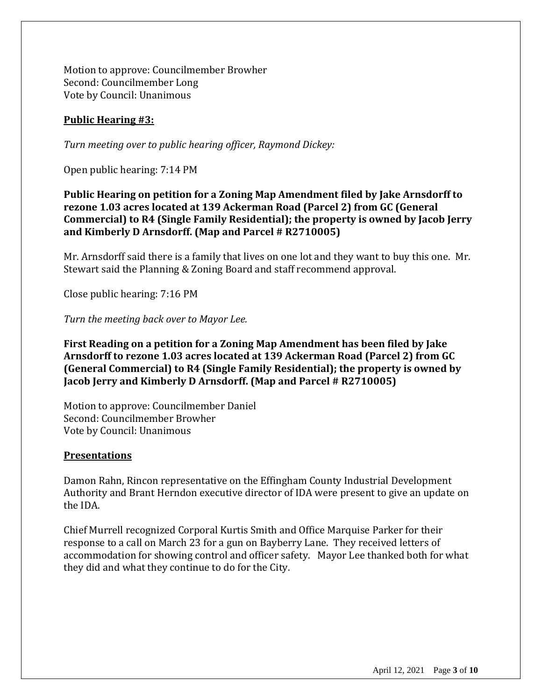Motion to approve: Councilmember Browher Second: Councilmember Long Vote by Council: Unanimous

## **Public Hearing #3:**

*Turn meeting over to public hearing officer, Raymond Dickey:*

Open public hearing: 7:14 PM

**Public Hearing on petition for a Zoning Map Amendment filed by Jake Arnsdorff to rezone 1.03 acres located at 139 Ackerman Road (Parcel 2) from GC (General Commercial) to R4 (Single Family Residential); the property is owned by Jacob Jerry and Kimberly D Arnsdorff. (Map and Parcel # R2710005)**

Mr. Arnsdorff said there is a family that lives on one lot and they want to buy this one. Mr. Stewart said the Planning & Zoning Board and staff recommend approval.

Close public hearing: 7:16 PM

*Turn the meeting back over to Mayor Lee.*

**First Reading on a petition for a Zoning Map Amendment has been filed by Jake Arnsdorff to rezone 1.03 acres located at 139 Ackerman Road (Parcel 2) from GC (General Commercial) to R4 (Single Family Residential); the property is owned by Jacob Jerry and Kimberly D Arnsdorff. (Map and Parcel # R2710005)**

Motion to approve: Councilmember Daniel Second: Councilmember Browher Vote by Council: Unanimous

#### **Presentations**

Damon Rahn, Rincon representative on the Effingham County Industrial Development Authority and Brant Herndon executive director of IDA were present to give an update on the IDA.

Chief Murrell recognized Corporal Kurtis Smith and Office Marquise Parker for their response to a call on March 23 for a gun on Bayberry Lane. They received letters of accommodation for showing control and officer safety. Mayor Lee thanked both for what they did and what they continue to do for the City.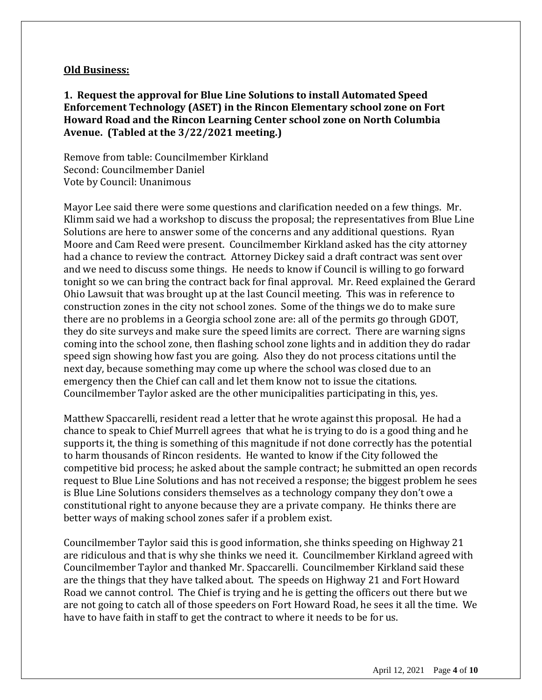#### **Old Business:**

**1. Request the approval for Blue Line Solutions to install Automated Speed Enforcement Technology (ASET) in the Rincon Elementary school zone on Fort Howard Road and the Rincon Learning Center school zone on North Columbia Avenue. (Tabled at the 3/22/2021 meeting.)**

Remove from table: Councilmember Kirkland Second: Councilmember Daniel Vote by Council: Unanimous

Mayor Lee said there were some questions and clarification needed on a few things. Mr. Klimm said we had a workshop to discuss the proposal; the representatives from Blue Line Solutions are here to answer some of the concerns and any additional questions. Ryan Moore and Cam Reed were present. Councilmember Kirkland asked has the city attorney had a chance to review the contract. Attorney Dickey said a draft contract was sent over and we need to discuss some things. He needs to know if Council is willing to go forward tonight so we can bring the contract back for final approval. Mr. Reed explained the Gerard Ohio Lawsuit that was brought up at the last Council meeting. This was in reference to construction zones in the city not school zones. Some of the things we do to make sure there are no problems in a Georgia school zone are: all of the permits go through GDOT, they do site surveys and make sure the speed limits are correct. There are warning signs coming into the school zone, then flashing school zone lights and in addition they do radar speed sign showing how fast you are going. Also they do not process citations until the next day, because something may come up where the school was closed due to an emergency then the Chief can call and let them know not to issue the citations. Councilmember Taylor asked are the other municipalities participating in this, yes.

Matthew Spaccarelli, resident read a letter that he wrote against this proposal. He had a chance to speak to Chief Murrell agrees that what he is trying to do is a good thing and he supports it, the thing is something of this magnitude if not done correctly has the potential to harm thousands of Rincon residents. He wanted to know if the City followed the competitive bid process; he asked about the sample contract; he submitted an open records request to Blue Line Solutions and has not received a response; the biggest problem he sees is Blue Line Solutions considers themselves as a technology company they don't owe a constitutional right to anyone because they are a private company. He thinks there are better ways of making school zones safer if a problem exist.

Councilmember Taylor said this is good information, she thinks speeding on Highway 21 are ridiculous and that is why she thinks we need it. Councilmember Kirkland agreed with Councilmember Taylor and thanked Mr. Spaccarelli. Councilmember Kirkland said these are the things that they have talked about. The speeds on Highway 21 and Fort Howard Road we cannot control. The Chief is trying and he is getting the officers out there but we are not going to catch all of those speeders on Fort Howard Road, he sees it all the time. We have to have faith in staff to get the contract to where it needs to be for us.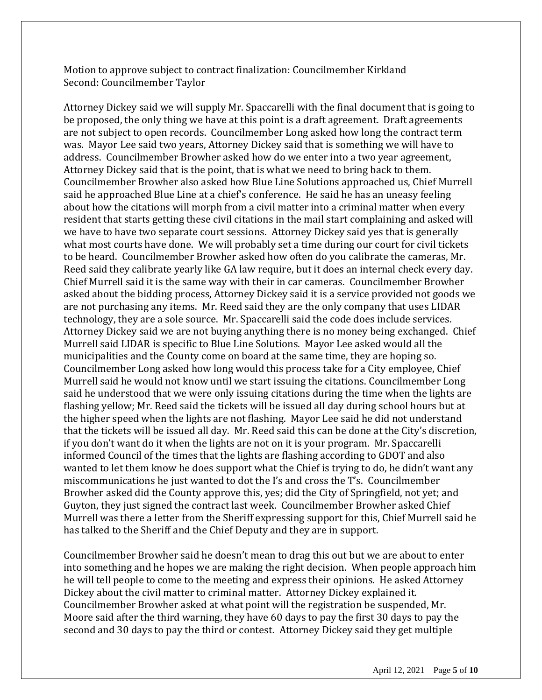Motion to approve subject to contract finalization: Councilmember Kirkland Second: Councilmember Taylor

Attorney Dickey said we will supply Mr. Spaccarelli with the final document that is going to be proposed, the only thing we have at this point is a draft agreement. Draft agreements are not subject to open records. Councilmember Long asked how long the contract term was. Mayor Lee said two years, Attorney Dickey said that is something we will have to address. Councilmember Browher asked how do we enter into a two year agreement, Attorney Dickey said that is the point, that is what we need to bring back to them. Councilmember Browher also asked how Blue Line Solutions approached us, Chief Murrell said he approached Blue Line at a chief's conference. He said he has an uneasy feeling about how the citations will morph from a civil matter into a criminal matter when every resident that starts getting these civil citations in the mail start complaining and asked will we have to have two separate court sessions. Attorney Dickey said yes that is generally what most courts have done. We will probably set a time during our court for civil tickets to be heard. Councilmember Browher asked how often do you calibrate the cameras, Mr. Reed said they calibrate yearly like GA law require, but it does an internal check every day. Chief Murrell said it is the same way with their in car cameras. Councilmember Browher asked about the bidding process, Attorney Dickey said it is a service provided not goods we are not purchasing any items. Mr. Reed said they are the only company that uses LIDAR technology, they are a sole source. Mr. Spaccarelli said the code does include services. Attorney Dickey said we are not buying anything there is no money being exchanged. Chief Murrell said LIDAR is specific to Blue Line Solutions. Mayor Lee asked would all the municipalities and the County come on board at the same time, they are hoping so. Councilmember Long asked how long would this process take for a City employee, Chief Murrell said he would not know until we start issuing the citations. Councilmember Long said he understood that we were only issuing citations during the time when the lights are flashing yellow; Mr. Reed said the tickets will be issued all day during school hours but at the higher speed when the lights are not flashing. Mayor Lee said he did not understand that the tickets will be issued all day. Mr. Reed said this can be done at the City's discretion, if you don't want do it when the lights are not on it is your program. Mr. Spaccarelli informed Council of the times that the lights are flashing according to GDOT and also wanted to let them know he does support what the Chief is trying to do, he didn't want any miscommunications he just wanted to dot the I's and cross the T's. Councilmember Browher asked did the County approve this, yes; did the City of Springfield, not yet; and Guyton, they just signed the contract last week. Councilmember Browher asked Chief Murrell was there a letter from the Sheriff expressing support for this, Chief Murrell said he has talked to the Sheriff and the Chief Deputy and they are in support.

Councilmember Browher said he doesn't mean to drag this out but we are about to enter into something and he hopes we are making the right decision. When people approach him he will tell people to come to the meeting and express their opinions. He asked Attorney Dickey about the civil matter to criminal matter. Attorney Dickey explained it. Councilmember Browher asked at what point will the registration be suspended, Mr. Moore said after the third warning, they have 60 days to pay the first 30 days to pay the second and 30 days to pay the third or contest. Attorney Dickey said they get multiple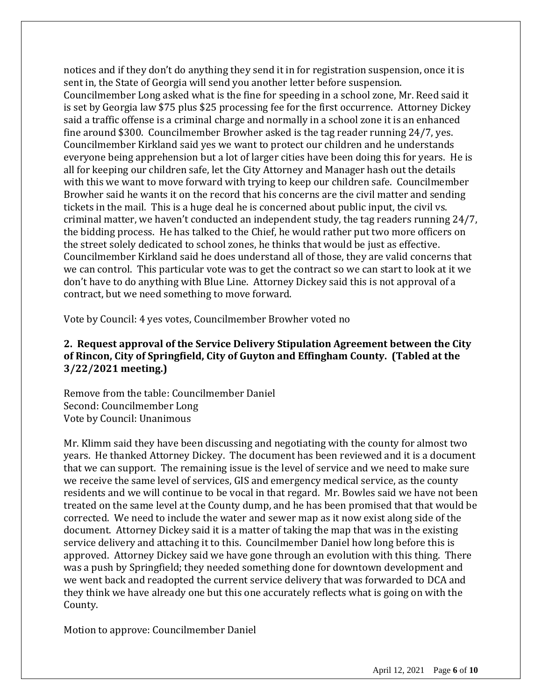notices and if they don't do anything they send it in for registration suspension, once it is sent in, the State of Georgia will send you another letter before suspension. Councilmember Long asked what is the fine for speeding in a school zone, Mr. Reed said it is set by Georgia law \$75 plus \$25 processing fee for the first occurrence. Attorney Dickey said a traffic offense is a criminal charge and normally in a school zone it is an enhanced fine around \$300. Councilmember Browher asked is the tag reader running 24/7, yes. Councilmember Kirkland said yes we want to protect our children and he understands everyone being apprehension but a lot of larger cities have been doing this for years. He is all for keeping our children safe, let the City Attorney and Manager hash out the details with this we want to move forward with trying to keep our children safe. Councilmember Browher said he wants it on the record that his concerns are the civil matter and sending tickets in the mail. This is a huge deal he is concerned about public input, the civil vs. criminal matter, we haven't conducted an independent study, the tag readers running 24/7, the bidding process. He has talked to the Chief, he would rather put two more officers on the street solely dedicated to school zones, he thinks that would be just as effective. Councilmember Kirkland said he does understand all of those, they are valid concerns that we can control. This particular vote was to get the contract so we can start to look at it we don't have to do anything with Blue Line. Attorney Dickey said this is not approval of a contract, but we need something to move forward.

Vote by Council: 4 yes votes, Councilmember Browher voted no

# **2. Request approval of the Service Delivery Stipulation Agreement between the City of Rincon, City of Springfield, City of Guyton and Effingham County. (Tabled at the 3/22/2021 meeting.)**

Remove from the table: Councilmember Daniel Second: Councilmember Long Vote by Council: Unanimous

Mr. Klimm said they have been discussing and negotiating with the county for almost two years. He thanked Attorney Dickey. The document has been reviewed and it is a document that we can support. The remaining issue is the level of service and we need to make sure we receive the same level of services, GIS and emergency medical service, as the county residents and we will continue to be vocal in that regard. Mr. Bowles said we have not been treated on the same level at the County dump, and he has been promised that that would be corrected. We need to include the water and sewer map as it now exist along side of the document. Attorney Dickey said it is a matter of taking the map that was in the existing service delivery and attaching it to this. Councilmember Daniel how long before this is approved. Attorney Dickey said we have gone through an evolution with this thing. There was a push by Springfield; they needed something done for downtown development and we went back and readopted the current service delivery that was forwarded to DCA and they think we have already one but this one accurately reflects what is going on with the County.

Motion to approve: Councilmember Daniel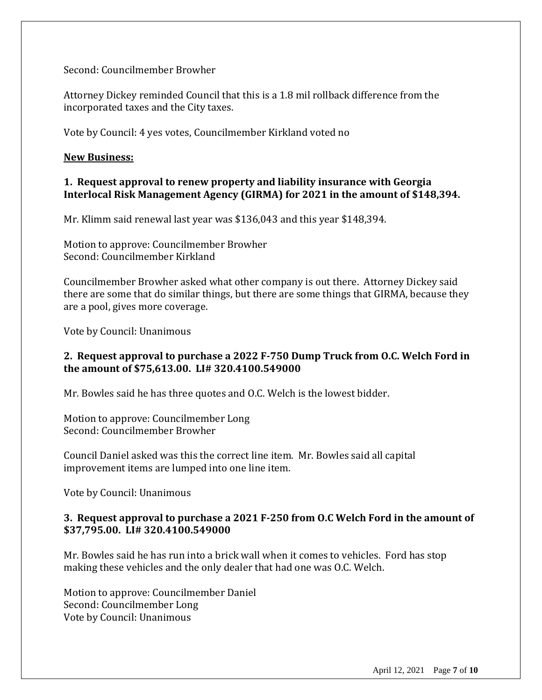Second: Councilmember Browher

Attorney Dickey reminded Council that this is a 1.8 mil rollback difference from the incorporated taxes and the City taxes.

Vote by Council: 4 yes votes, Councilmember Kirkland voted no

#### **New Business:**

## **1. Request approval to renew property and liability insurance with Georgia Interlocal Risk Management Agency (GIRMA) for 2021 in the amount of \$148,394.**

Mr. Klimm said renewal last year was \$136,043 and this year \$148,394.

Motion to approve: Councilmember Browher Second: Councilmember Kirkland

Councilmember Browher asked what other company is out there. Attorney Dickey said there are some that do similar things, but there are some things that GIRMA, because they are a pool, gives more coverage.

Vote by Council: Unanimous

# **2. Request approval to purchase a 2022 F-750 Dump Truck from O.C. Welch Ford in the amount of \$75,613.00. LI# 320.4100.549000**

Mr. Bowles said he has three quotes and O.C. Welch is the lowest bidder.

Motion to approve: Councilmember Long Second: Councilmember Browher

Council Daniel asked was this the correct line item. Mr. Bowles said all capital improvement items are lumped into one line item.

Vote by Council: Unanimous

### **3. Request approval to purchase a 2021 F-250 from O.C Welch Ford in the amount of \$37,795.00. LI# 320.4100.549000**

Mr. Bowles said he has run into a brick wall when it comes to vehicles. Ford has stop making these vehicles and the only dealer that had one was O.C. Welch.

Motion to approve: Councilmember Daniel Second: Councilmember Long Vote by Council: Unanimous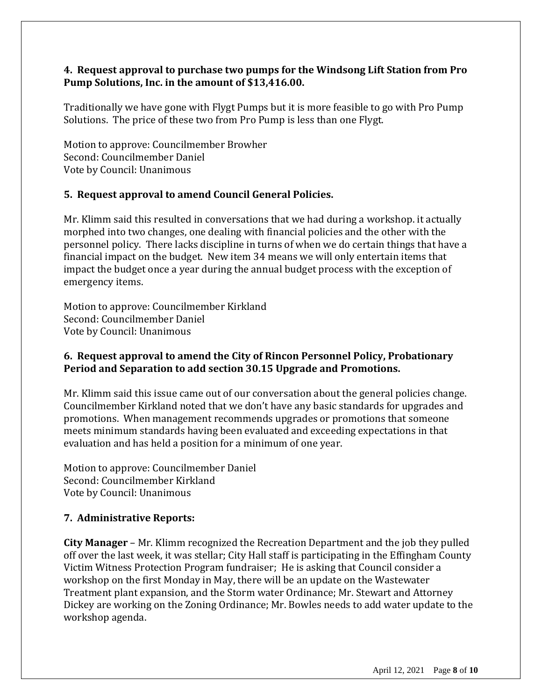## **4. Request approval to purchase two pumps for the Windsong Lift Station from Pro Pump Solutions, Inc. in the amount of \$13,416.00.**

Traditionally we have gone with Flygt Pumps but it is more feasible to go with Pro Pump Solutions. The price of these two from Pro Pump is less than one Flygt.

Motion to approve: Councilmember Browher Second: Councilmember Daniel Vote by Council: Unanimous

## **5. Request approval to amend Council General Policies.**

Mr. Klimm said this resulted in conversations that we had during a workshop. it actually morphed into two changes, one dealing with financial policies and the other with the personnel policy. There lacks discipline in turns of when we do certain things that have a financial impact on the budget. New item 34 means we will only entertain items that impact the budget once a year during the annual budget process with the exception of emergency items.

Motion to approve: Councilmember Kirkland Second: Councilmember Daniel Vote by Council: Unanimous

# **6. Request approval to amend the City of Rincon Personnel Policy, Probationary Period and Separation to add section 30.15 Upgrade and Promotions.**

Mr. Klimm said this issue came out of our conversation about the general policies change. Councilmember Kirkland noted that we don't have any basic standards for upgrades and promotions. When management recommends upgrades or promotions that someone meets minimum standards having been evaluated and exceeding expectations in that evaluation and has held a position for a minimum of one year.

Motion to approve: Councilmember Daniel Second: Councilmember Kirkland Vote by Council: Unanimous

# **7. Administrative Reports:**

**City Manager** – Mr. Klimm recognized the Recreation Department and the job they pulled off over the last week, it was stellar; City Hall staff is participating in the Effingham County Victim Witness Protection Program fundraiser; He is asking that Council consider a workshop on the first Monday in May, there will be an update on the Wastewater Treatment plant expansion, and the Storm water Ordinance; Mr. Stewart and Attorney Dickey are working on the Zoning Ordinance; Mr. Bowles needs to add water update to the workshop agenda.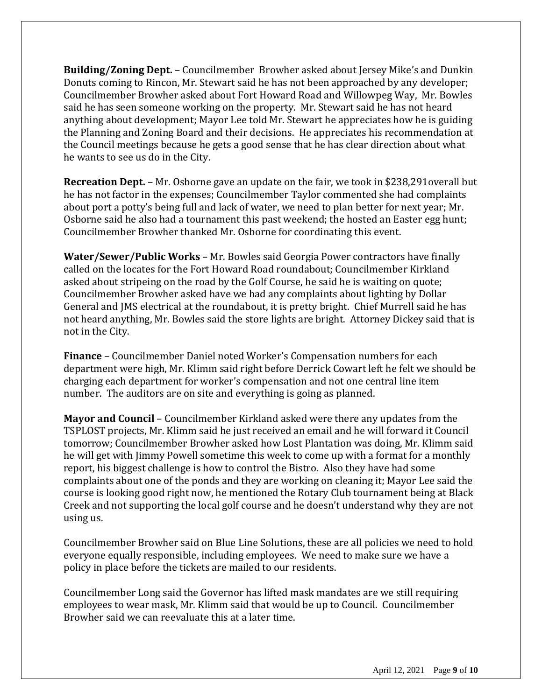**Building/Zoning Dept.** – Councilmember Browher asked about Jersey Mike's and Dunkin Donuts coming to Rincon, Mr. Stewart said he has not been approached by any developer; Councilmember Browher asked about Fort Howard Road and Willowpeg Way, Mr. Bowles said he has seen someone working on the property. Mr. Stewart said he has not heard anything about development; Mayor Lee told Mr. Stewart he appreciates how he is guiding the Planning and Zoning Board and their decisions. He appreciates his recommendation at the Council meetings because he gets a good sense that he has clear direction about what he wants to see us do in the City.

**Recreation Dept.** – Mr. Osborne gave an update on the fair, we took in \$238,291overall but he has not factor in the expenses; Councilmember Taylor commented she had complaints about port a potty's being full and lack of water, we need to plan better for next year; Mr. Osborne said he also had a tournament this past weekend; the hosted an Easter egg hunt; Councilmember Browher thanked Mr. Osborne for coordinating this event.

**Water/Sewer/Public Works** – Mr. Bowles said Georgia Power contractors have finally called on the locates for the Fort Howard Road roundabout; Councilmember Kirkland asked about stripeing on the road by the Golf Course, he said he is waiting on quote; Councilmember Browher asked have we had any complaints about lighting by Dollar General and JMS electrical at the roundabout, it is pretty bright. Chief Murrell said he has not heard anything, Mr. Bowles said the store lights are bright. Attorney Dickey said that is not in the City.

**Finance** – Councilmember Daniel noted Worker's Compensation numbers for each department were high, Mr. Klimm said right before Derrick Cowart left he felt we should be charging each department for worker's compensation and not one central line item number. The auditors are on site and everything is going as planned.

**Mayor and Council** – Councilmember Kirkland asked were there any updates from the TSPLOST projects, Mr. Klimm said he just received an email and he will forward it Council tomorrow; Councilmember Browher asked how Lost Plantation was doing, Mr. Klimm said he will get with Jimmy Powell sometime this week to come up with a format for a monthly report, his biggest challenge is how to control the Bistro. Also they have had some complaints about one of the ponds and they are working on cleaning it; Mayor Lee said the course is looking good right now, he mentioned the Rotary Club tournament being at Black Creek and not supporting the local golf course and he doesn't understand why they are not using us.

Councilmember Browher said on Blue Line Solutions, these are all policies we need to hold everyone equally responsible, including employees. We need to make sure we have a policy in place before the tickets are mailed to our residents.

Councilmember Long said the Governor has lifted mask mandates are we still requiring employees to wear mask, Mr. Klimm said that would be up to Council. Councilmember Browher said we can reevaluate this at a later time.